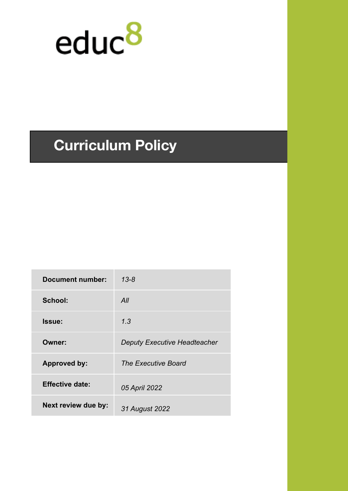

# **Curriculum Policy**

| Document number:           | $13 - 8$                            |
|----------------------------|-------------------------------------|
| School:                    | All                                 |
| Issue:                     | 1.3                                 |
| Owner:                     | <b>Deputy Executive Headteacher</b> |
| <b>Approved by:</b>        | <b>The Executive Board</b>          |
| <b>Effective date:</b>     | 05 April 2022                       |
| <b>Next review due by:</b> | 31 August 2022                      |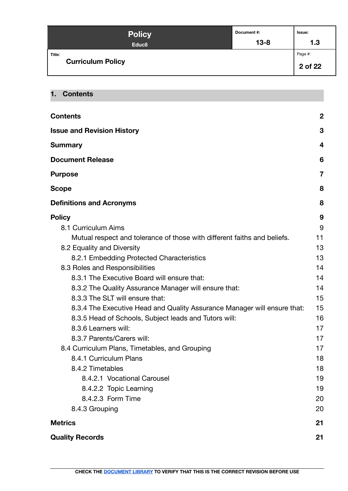| <b>Policy</b>                      | Document #: | Issue:             |
|------------------------------------|-------------|--------------------|
| Educ <sub>8</sub>                  | $13 - 8$    | 1.3                |
| Title:<br><b>Curriculum Policy</b> |             | Page #:<br>2 of 22 |

# <span id="page-1-0"></span>**1. Contents**

| <b>Contents</b>                                                          | $\boldsymbol{2}$ |
|--------------------------------------------------------------------------|------------------|
| <b>Issue and Revision History</b>                                        | 3                |
| <b>Summary</b>                                                           | 4                |
| <b>Document Release</b>                                                  | 6                |
| <b>Purpose</b>                                                           | $\overline{7}$   |
| <b>Scope</b>                                                             | 8                |
| <b>Definitions and Acronyms</b>                                          | 8                |
| <b>Policy</b>                                                            | 9                |
| 8.1 Curriculum Aims                                                      | 9                |
| Mutual respect and tolerance of those with different faiths and beliefs. | 11               |
| 8.2 Equality and Diversity                                               | 13               |
| 8.2.1 Embedding Protected Characteristics                                | 13               |
| 8.3 Roles and Responsibilities                                           | 14               |
| 8.3.1 The Executive Board will ensure that:                              | 14               |
| 8.3.2 The Quality Assurance Manager will ensure that:                    | 14               |
| 8.3.3 The SLT will ensure that:                                          | 15               |
| 8.3.4 The Executive Head and Quality Assurance Manager will ensure that: | 15               |
| 8.3.5 Head of Schools, Subject leads and Tutors will:                    | 16               |
| 8.3.6 Learners will:                                                     | 17               |
| 8.3.7 Parents/Carers will:                                               | 17               |
| 8.4 Curriculum Plans, Timetables, and Grouping                           | 17               |
| 8.4.1 Curriculum Plans                                                   | 18               |
| 8.4.2 Timetables                                                         | 18               |
| 8.4.2.1 Vocational Carousel                                              | 19               |
| 8.4.2.2 Topic Learning                                                   | 19               |
| 8.4.2.3 Form Time                                                        | 20               |
| 8.4.3 Grouping                                                           | 20               |
| <b>Metrics</b>                                                           | 21               |
| <b>Quality Records</b>                                                   | 21               |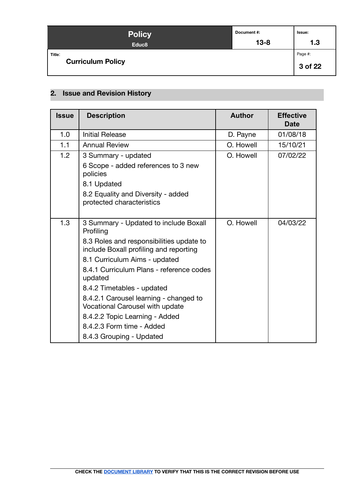| <b>Policy</b>                      | Document #: | Issue:             |
|------------------------------------|-------------|--------------------|
| Educ <sub>8</sub>                  | $13 - 8$    | 1.3                |
| Title:<br><b>Curriculum Policy</b> |             | Page #:<br>3 of 22 |

# <span id="page-2-0"></span>**2. Issue and Revision History**

| <b>Issue</b> | <b>Description</b>                                                                                                                                                                                                                                                                                                                                                                                         | <b>Author</b> | <b>Effective</b><br><b>Date</b> |
|--------------|------------------------------------------------------------------------------------------------------------------------------------------------------------------------------------------------------------------------------------------------------------------------------------------------------------------------------------------------------------------------------------------------------------|---------------|---------------------------------|
| 1.0          | <b>Initial Release</b>                                                                                                                                                                                                                                                                                                                                                                                     | D. Payne      | 01/08/18                        |
| 1.1          | <b>Annual Review</b>                                                                                                                                                                                                                                                                                                                                                                                       | O. Howell     | 15/10/21                        |
| 1.2          | 3 Summary - updated                                                                                                                                                                                                                                                                                                                                                                                        | O. Howell     | 07/02/22                        |
|              | 6 Scope - added references to 3 new<br>policies                                                                                                                                                                                                                                                                                                                                                            |               |                                 |
|              | 8.1 Updated                                                                                                                                                                                                                                                                                                                                                                                                |               |                                 |
|              | 8.2 Equality and Diversity - added<br>protected characteristics                                                                                                                                                                                                                                                                                                                                            |               |                                 |
| 1.3          | 3 Summary - Updated to include Boxall<br>Profiling<br>8.3 Roles and responsibilities update to<br>include Boxall profiling and reporting<br>8.1 Curriculum Aims - updated<br>8.4.1 Curriculum Plans - reference codes<br>updated<br>8.4.2 Timetables - updated<br>8.4.2.1 Carousel learning - changed to<br>Vocational Carousel with update<br>8.4.2.2 Topic Learning - Added<br>8.4.2.3 Form time - Added | O. Howell     | 04/03/22                        |
|              | 8.4.3 Grouping - Updated                                                                                                                                                                                                                                                                                                                                                                                   |               |                                 |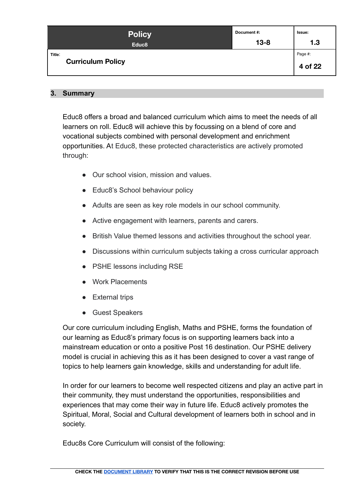| <b>Policy</b>                      | Document #: | Issue:             |
|------------------------------------|-------------|--------------------|
| Educ <sub>8</sub>                  | $13 - 8$    | 1.3                |
| Title:<br><b>Curriculum Policy</b> |             | Page #:<br>4 of 22 |

# <span id="page-3-0"></span>**3. Summary**

Educ8 offers a broad and balanced curriculum which aims to meet the needs of all learners on roll. Educ8 will achieve this by focussing on a blend of core and vocational subjects combined with personal development and enrichment opportunities. At Educ8, these protected characteristics are actively promoted through:

- Our school vision, mission and values.
- Educ8's School behaviour policy
- Adults are seen as key role models in our school community.
- Active engagement with learners, parents and carers.
- British Value themed lessons and activities throughout the school year.
- Discussions within curriculum subjects taking a cross curricular approach
- PSHE lessons including RSE
- Work Placements
- External trips
- Guest Speakers

Our core curriculum including English, Maths and PSHE, forms the foundation of our learning as Educ8's primary focus is on supporting learners back into a mainstream education or onto a positive Post 16 destination. Our PSHE delivery model is crucial in achieving this as it has been designed to cover a vast range of topics to help learners gain knowledge, skills and understanding for adult life.

In order for our learners to become well respected citizens and play an active part in their community, they must understand the opportunities, responsibilities and experiences that may come their way in future life. Educ8 actively promotes the Spiritual, Moral, Social and Cultural development of learners both in school and in society.

Educ8s Core Curriculum will consist of the following: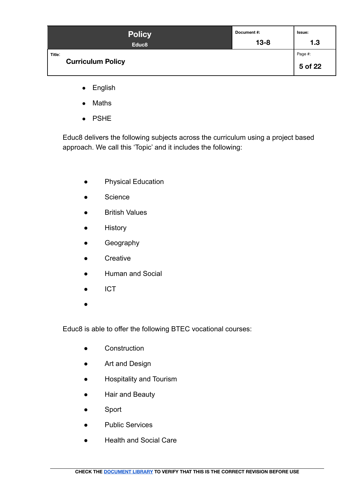| <b>Policy</b>                      | Document #: | lssue:             |
|------------------------------------|-------------|--------------------|
| Educ <sub>8</sub>                  | $13 - 8$    | 1.3                |
| Title:<br><b>Curriculum Policy</b> |             | Page #:<br>5 of 22 |

- English
- Maths
- PSHE

Educ8 delivers the following subjects across the curriculum using a project based approach. We call this 'Topic' and it includes the following:

- Physical Education
- Science
- British Values
- History
- **•** Geography
- Creative
- Human and Social
- ICT
- ●

Educ8 is able to offer the following BTEC vocational courses:

- Construction
- Art and Design
- Hospitality and Tourism
- Hair and Beauty
- Sport
- Public Services
- Health and Social Care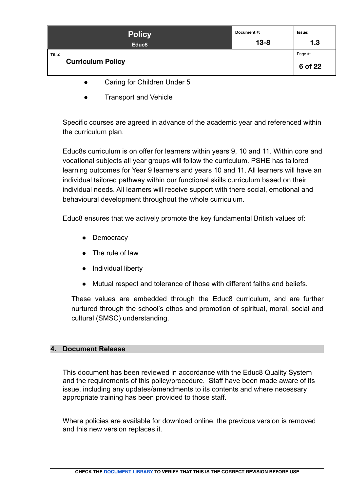| <b>Policy</b>                      | Document#: | Issue:             |
|------------------------------------|------------|--------------------|
| Educ <sub>8</sub>                  | $13 - 8$   | 1.3                |
| Title:<br><b>Curriculum Policy</b> |            | Page #:<br>6 of 22 |

- Caring for Children Under 5
- **Transport and Vehicle**

Specific courses are agreed in advance of the academic year and referenced within the curriculum plan.

Educ8s curriculum is on offer for learners within years 9, 10 and 11. Within core and vocational subjects all year groups will follow the curriculum. PSHE has tailored learning outcomes for Year 9 learners and years 10 and 11. All learners will have an individual tailored pathway within our functional skills curriculum based on their individual needs. All learners will receive support with there social, emotional and behavioural development throughout the whole curriculum.

Educ8 ensures that we actively promote the key fundamental British values of:

- Democracy
- The rule of law
- Individual liberty
- Mutual respect and tolerance of those with different faiths and beliefs.

These values are embedded through the Educ8 curriculum, and are further nurtured through the school's ethos and promotion of spiritual, moral, social and cultural (SMSC) understanding.

# <span id="page-5-0"></span>**4. Document Release**

This document has been reviewed in accordance with the Educ8 Quality System and the requirements of this policy/procedure. Staff have been made aware of its issue, including any updates/amendments to its contents and where necessary appropriate training has been provided to those staff.

Where policies are available for download online, the previous version is removed and this new version replaces it.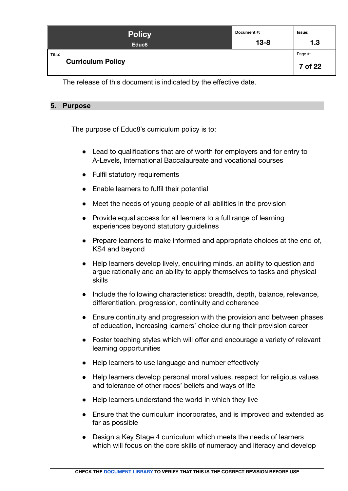| <b>Policy</b>                      | Document#: | Issue:             |
|------------------------------------|------------|--------------------|
| Educ <sub>8</sub>                  | $13 - 8$   | 1.3                |
| Title:<br><b>Curriculum Policy</b> |            | Page #:<br>7 of 22 |

The release of this document is indicated by the effective date.

# <span id="page-6-0"></span>**5. Purpose**

The purpose of Educ8's curriculum policy is to:

- Lead to qualifications that are of worth for employers and for entry to A-Levels, International Baccalaureate and vocational courses
- Fulfil statutory requirements
- Enable learners to fulfil their potential
- Meet the needs of young people of all abilities in the provision
- Provide equal access for all learners to a full range of learning experiences beyond statutory guidelines
- Prepare learners to make informed and appropriate choices at the end of, KS4 and beyond
- Help learners develop lively, enquiring minds, an ability to question and argue rationally and an ability to apply themselves to tasks and physical skills
- Include the following characteristics: breadth, depth, balance, relevance, differentiation, progression, continuity and coherence
- Ensure continuity and progression with the provision and between phases of education, increasing learners' choice during their provision career
- Foster teaching styles which will offer and encourage a variety of relevant learning opportunities
- Help learners to use language and number effectively
- Help learners develop personal moral values, respect for religious values and tolerance of other races' beliefs and ways of life
- Help learners understand the world in which they live
- Ensure that the curriculum incorporates, and is improved and extended as far as possible
- Design a Key Stage 4 curriculum which meets the needs of learners which will focus on the core skills of numeracy and literacy and develop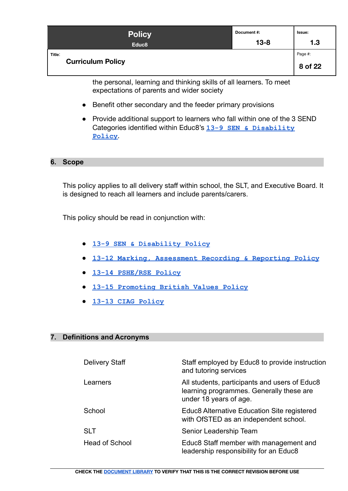| <b>Policy</b>                      | Document #: | Issue:             |
|------------------------------------|-------------|--------------------|
| Educ <sub>8</sub>                  | $13 - 8$    | 1.3                |
| Title:<br><b>Curriculum Policy</b> |             | Page #:<br>8 of 22 |

the personal, learning and thinking skills of all learners. To meet expectations of parents and wider society

- Benefit other secondary and the feeder primary provisions
- Provide additional support to learners who fall within one of the 3 SEND Categories identified within Educ8's **[13-9 SEN & Disability](https://docs.google.com/document/d/1J5mt4iObM2SMq5oLQuMWGYH6FnTfVwXV759TFISeAE8/edit#) [Policy](https://docs.google.com/document/d/1J5mt4iObM2SMq5oLQuMWGYH6FnTfVwXV759TFISeAE8/edit#)**.

#### <span id="page-7-0"></span>**6. Scope**

This policy applies to all delivery staff within school, the SLT, and Executive Board. It is designed to reach all learners and include parents/carers.

This policy should be read in conjunction with:

- **[13-9 SEN & Disability Policy](https://docs.google.com/document/d/1J5mt4iObM2SMq5oLQuMWGYH6FnTfVwXV759TFISeAE8/edit#)**
- **[13-12 Marking, Assessment Recording & Reporting Policy](https://docs.google.com/document/d/1_b5JZUgoGhhZlXtCYJmubdzJMEJD3DlzZBgTqlD38Bk/edit)**
- **● [13-14 PSHE/RSE Policy](https://docs.google.com/document/d/1Uz1RgDySZhGJCozaOmXdtytqA4eyEecHG4c3NcUBWZc/edit)**
- **[13-15 Promoting British Values Policy](https://docs.google.com/document/d/1lm4Rj4vxGB249pFZvOtHh_mZGV24Qgab12BS5R_SCZo/edit)**
- **[13-13 CIAG Policy](https://docs.google.com/document/d/1Y_GI2E_gtdvBkBlNR_Shcs_JqBj3e7yAAHJp4sP7ReU/edit#)**

#### <span id="page-7-1"></span>**7. Definitions and Acronyms**

| <b>Delivery Staff</b> | Staff employed by Educ8 to provide instruction<br>and tutoring services                                             |
|-----------------------|---------------------------------------------------------------------------------------------------------------------|
| Learners              | All students, participants and users of Educ8<br>learning programmes. Generally these are<br>under 18 years of age. |
| School                | Educ8 Alternative Education Site registered<br>with OfSTED as an independent school.                                |
| <b>SLT</b>            | Senior Leadership Team                                                                                              |
| <b>Head of School</b> | Educ8 Staff member with management and<br>leadership responsibility for an Educ8                                    |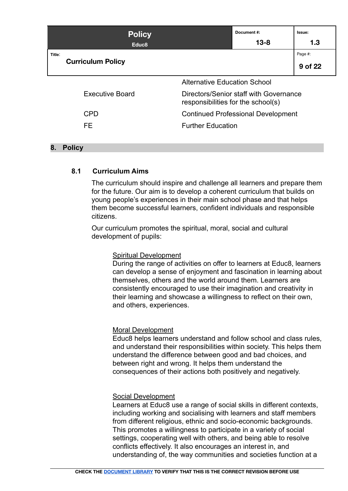|        | <b>Policy</b>            |                                                                              | Document#: | Issue:  |
|--------|--------------------------|------------------------------------------------------------------------------|------------|---------|
|        | Educ <sub>8</sub>        |                                                                              | $13 - 8$   | 1.3     |
| Title: |                          |                                                                              |            | Page #: |
|        | <b>Curriculum Policy</b> |                                                                              |            | 9 of 22 |
|        |                          | <b>Alternative Education School</b>                                          |            |         |
|        | <b>Executive Board</b>   | Directors/Senior staff with Governance<br>responsibilities for the school(s) |            |         |
|        | <b>CPD</b>               | <b>Continued Professional Development</b>                                    |            |         |
|        | FE                       | <b>Further Education</b>                                                     |            |         |

# <span id="page-8-0"></span>**8. Policy**

# <span id="page-8-1"></span>**8.1 Curriculum Aims**

The curriculum should inspire and challenge all learners and prepare them for the future. Our aim is to develop a coherent curriculum that builds on young people's experiences in their main school phase and that helps them become successful learners, confident individuals and responsible citizens.

Our curriculum promotes the spiritual, moral, social and cultural development of pupils:

#### Spiritual Development

During the range of activities on offer to learners at Educ8, learners can develop a sense of enjoyment and fascination in learning about themselves, others and the world around them. Learners are consistently encouraged to use their imagination and creativity in their learning and showcase a willingness to reflect on their own, and others, experiences.

#### Moral Development

Educ8 helps learners understand and follow school and class rules, and understand their responsibilities within society. This helps them understand the difference between good and bad choices, and between right and wrong. It helps them understand the consequences of their actions both positively and negatively.

# Social Development

Learners at Educ8 use a range of social skills in different contexts, including working and socialising with learners and staff members from different religious, ethnic and socio-economic backgrounds. This promotes a willingness to participate in a variety of social settings, cooperating well with others, and being able to resolve conflicts effectively. It also encourages an interest in, and understanding of, the way communities and societies function at a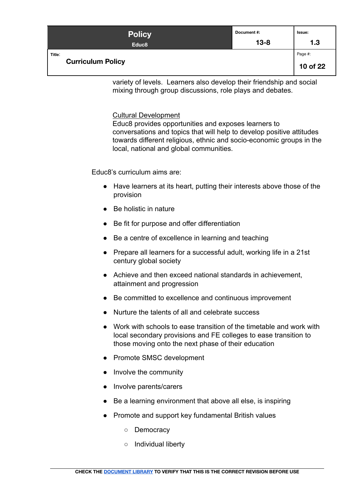| Policy                             | Document#: | Issue:              |
|------------------------------------|------------|---------------------|
| Educ <sub>8</sub>                  | $13 - 8$   | 1.3                 |
| Title:<br><b>Curriculum Policy</b> |            | Page #:<br>10 of 22 |

variety of levels. Learners also develop their friendship and social mixing through group discussions, role plays and debates.

#### Cultural Development

Educ8 provides opportunities and exposes learners to conversations and topics that will help to develop positive attitudes towards different religious, ethnic and socio-economic groups in the local, national and global communities.

Educ8's curriculum aims are:

- Have learners at its heart, putting their interests above those of the provision
- Be holistic in nature
- Be fit for purpose and offer differentiation
- Be a centre of excellence in learning and teaching
- Prepare all learners for a successful adult, working life in a 21st century global society
- Achieve and then exceed national standards in achievement, attainment and progression
- Be committed to excellence and continuous improvement
- Nurture the talents of all and celebrate success
- Work with schools to ease transition of the timetable and work with local secondary provisions and FE colleges to ease transition to those moving onto the next phase of their education
- Promote SMSC development
- Involve the community
- Involve parents/carers
- Be a learning environment that above all else, is inspiring
- Promote and support key fundamental British values
	- Democracy
	- Individual liberty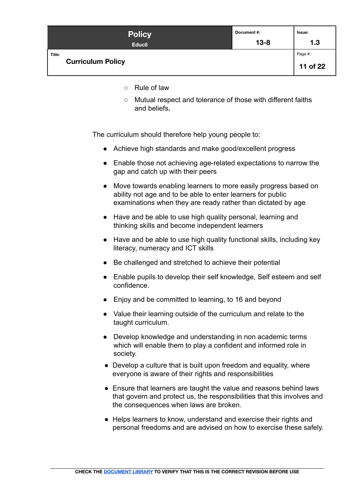| <b>Policy</b>                      | Document #: | Issue:              |
|------------------------------------|-------------|---------------------|
| Educ <sub>8</sub>                  | $13 - 8$    | 1.3                 |
| Title:<br><b>Curriculum Policy</b> |             | Page #:<br>11 of 22 |

- Rule of law
- Mutual respect and tolerance of those with different faiths and beliefs**.**

<span id="page-10-0"></span>The curriculum should therefore help young people to:

- Achieve high standards and make good/excellent progress
- Enable those not achieving age-related expectations to narrow the gap and catch up with their peers
- Move towards enabling learners to more easily progress based on ability not age and to be able to enter learners for public examinations when they are ready rather than dictated by age
- Have and be able to use high quality personal, learning and thinking skills and become independent learners
- Have and be able to use high quality functional skills, including key literacy, numeracy and ICT skills
- Be challenged and stretched to achieve their potential
- Enable pupils to develop their self knowledge, Self esteem and self confidence.
- Enjoy and be committed to learning, to 16 and beyond
- Value their learning outside of the curriculum and relate to the taught curriculum.
- Develop knowledge and understanding in non academic terms which will enable them to play a confident and informed role in society.
- Develop a culture that is built upon freedom and equality, where everyone is aware of their rights and responsibilities
- Ensure that learners are taught the value and reasons behind laws that govern and protect us, the responsibilities that this involves and the consequences when laws are broken.
- Helps learners to know, understand and exercise their rights and personal freedoms and are advised on how to exercise these safely.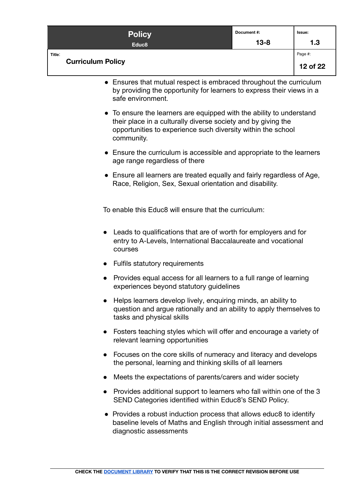| <b>Policy</b>                      | Document#: | Issue:              |
|------------------------------------|------------|---------------------|
| Educ <sub>8</sub>                  | $13 - 8$   | 1.3                 |
| Title:<br><b>Curriculum Policy</b> |            | Page #:<br>12 of 22 |

- Ensures that mutual respect is embraced throughout the curriculum by providing the opportunity for learners to express their views in a safe environment.
- To ensure the learners are equipped with the ability to understand their place in a culturally diverse society and by giving the opportunities to experience such diversity within the school community.
- Ensure the curriculum is accessible and appropriate to the learners age range regardless of there
- Ensure all learners are treated equally and fairly regardless of Age, Race, Religion, Sex, Sexual orientation and disability.

To enable this Educ8 will ensure that the curriculum:

- Leads to qualifications that are of worth for employers and for entry to A-Levels, International Baccalaureate and vocational courses
- Fulfils statutory requirements
- Provides equal access for all learners to a full range of learning experiences beyond statutory guidelines
- Helps learners develop lively, enquiring minds, an ability to question and argue rationally and an ability to apply themselves to tasks and physical skills
- Fosters teaching styles which will offer and encourage a variety of relevant learning opportunities
- Focuses on the core skills of numeracy and literacy and develops the personal, learning and thinking skills of all learners
- Meets the expectations of parents/carers and wider society
- Provides additional support to learners who fall within one of the 3 SEND Categories identified within Educ8's SEND Policy.
- Provides a robust induction process that allows educ8 to identify baseline levels of Maths and English through initial assessment and diagnostic assessments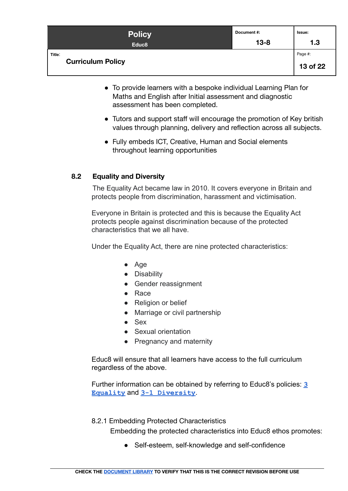| <b>Policy</b>                      | Document #: | Issue:              |
|------------------------------------|-------------|---------------------|
| Educ <sub>8</sub>                  | $13 - 8$    | 1.3                 |
| Title:<br><b>Curriculum Policy</b> |             | Page #:<br>13 of 22 |

- To provide learners with a bespoke individual Learning Plan for Maths and English after Initial assessment and diagnostic assessment has been completed.
- Tutors and support staff will encourage the promotion of Key british values through planning, delivery and reflection across all subjects.
- Fully embeds ICT, Creative, Human and Social elements throughout learning opportunities

# <span id="page-12-0"></span>**8.2 Equality and Diversity**

The Equality Act became law in 2010. It covers everyone in Britain and protects people from discrimination, harassment and victimisation.

Everyone in Britain is protected and this is because the Equality Act protects people against discrimination because of the protected characteristics that we all have.

Under the Equality Act, there are nine protected characteristics:

- Age
- Disability
- Gender reassignment
- Race
- Religion or belief
- Marriage or civil partnership
- Sex
- Sexual orientation
- Pregnancy and maternity

Educ8 will ensure that all learners have access to the full curriculum regardless of the above.

Further information can be obtained by referring to Educ8's policies: **[3](https://docs.google.com/document/d/1Q4W0hBw-4ncleQ1RCMhjJGu0Ri7RwXsV4omTMNZ4EXY/edit) [Equality](https://docs.google.com/document/d/1Q4W0hBw-4ncleQ1RCMhjJGu0Ri7RwXsV4omTMNZ4EXY/edit)** and **[3-1 Diversity](https://docs.google.com/document/d/1-MLCsTWo6pGJ_BZ0s4lE_RXCpSWvMEcu235v5aBB5mA/edit#)**.

<span id="page-12-1"></span>8.2.1 Embedding Protected Characteristics

Embedding the protected characteristics into Educ8 ethos promotes:

● Self-esteem, self-knowledge and self-confidence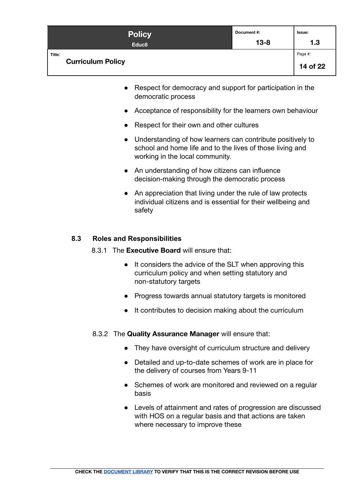| <b>Policy</b>                      | Document #: | Issue:              |
|------------------------------------|-------------|---------------------|
| Educ <sub>8</sub>                  | $13 - 8$    | 1.3                 |
| Title:<br><b>Curriculum Policy</b> |             | Page #:<br>14 of 22 |

- Respect for democracy and support for participation in the democratic process
- Acceptance of responsibility for the learners own behaviour
- Respect for their own and other cultures
- Understanding of how learners can contribute positively to school and home life and to the lives of those living and working in the local community.
- An understanding of how citizens can influence decision-making through the democratic process
- An appreciation that living under the rule of law protects individual citizens and is essential for their wellbeing and safety

# <span id="page-13-1"></span><span id="page-13-0"></span>**8.3 Roles and Responsibilities**

- 8.3.1 The **Executive Board** will ensure that:
	- It considers the advice of the SLT when approving this curriculum policy and when setting statutory and non-statutory targets
	- Progress towards annual statutory targets is monitored
	- It contributes to decision making about the curriculum
- <span id="page-13-2"></span>8.3.2 The **Quality Assurance Manager** will ensure that:
	- They have oversight of curriculum structure and delivery
	- Detailed and up-to-date schemes of work are in place for the delivery of courses from Years 9-11
	- Schemes of work are monitored and reviewed on a regular basis
	- Levels of attainment and rates of progression are discussed with HOS on a regular basis and that actions are taken where necessary to improve these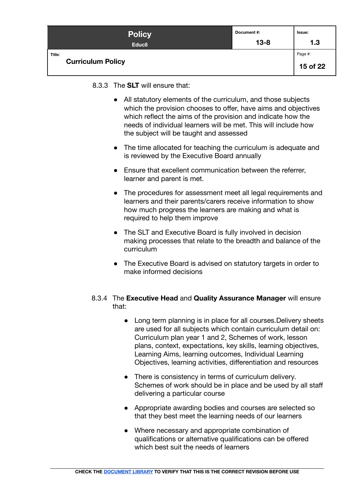| <b>Policy</b>                      | Document #: | Issue:              |
|------------------------------------|-------------|---------------------|
| Educ <sub>8</sub>                  | $13 - 8$    | 1.3                 |
| Title:<br><b>Curriculum Policy</b> |             | Page #:<br>15 of 22 |

<span id="page-14-0"></span>8.3.3 The **SLT** will ensure that:

- All statutory elements of the curriculum, and those subjects which the provision chooses to offer, have aims and objectives which reflect the aims of the provision and indicate how the needs of individual learners will be met. This will include how the subject will be taught and assessed
- The time allocated for teaching the curriculum is adequate and is reviewed by the Executive Board annually
- Ensure that excellent communication between the referrer, learner and parent is met.
- The procedures for assessment meet all legal requirements and learners and their parents/carers receive information to show how much progress the learners are making and what is required to help them improve
- The SLT and Executive Board is fully involved in decision making processes that relate to the breadth and balance of the curriculum
- The Executive Board is advised on statutory targets in order to make informed decisions

# <span id="page-14-1"></span>8.3.4 The **Executive Head** and **Quality Assurance Manager** will ensure that:

- Long term planning is in place for all courses. Delivery sheets are used for all subjects which contain curriculum detail on: Curriculum plan year 1 and 2, Schemes of work, lesson plans, context, expectations, key skills, learning objectives, Learning Aims, learning outcomes, Individual Learning Objectives, learning activities, differentiation and resources
- There is consistency in terms of curriculum delivery. Schemes of work should be in place and be used by all staff delivering a particular course
- Appropriate awarding bodies and courses are selected so that they best meet the learning needs of our learners
- Where necessary and appropriate combination of qualifications or alternative qualifications can be offered which best suit the needs of learners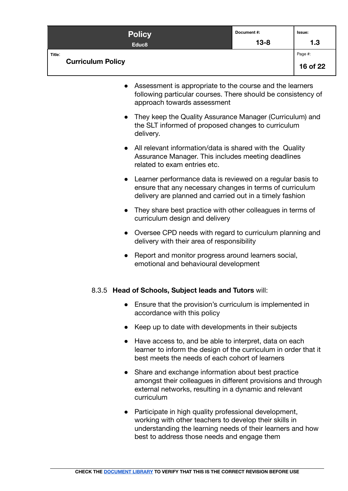| <b>Policy</b>                      | Document #: | Issue:              |
|------------------------------------|-------------|---------------------|
| Educ <sub>8</sub>                  | $13 - 8$    | 1.3                 |
| Title:<br><b>Curriculum Policy</b> |             | Page #:<br>16 of 22 |

- Assessment is appropriate to the course and the learners following particular courses. There should be consistency of approach towards assessment
- They keep the Quality Assurance Manager (Curriculum) and the SLT informed of proposed changes to curriculum delivery.
- All relevant information/data is shared with the Quality Assurance Manager. This includes meeting deadlines related to exam entries etc.
- Learner performance data is reviewed on a regular basis to ensure that any necessary changes in terms of curriculum delivery are planned and carried out in a timely fashion
- They share best practice with other colleagues in terms of curriculum design and delivery
- Oversee CPD needs with regard to curriculum planning and delivery with their area of responsibility
- Report and monitor progress around learners social, emotional and behavioural development

# <span id="page-15-0"></span>8.3.5 **Head of Schools, Subject leads and Tutors** will:

- Ensure that the provision's curriculum is implemented in accordance with this policy
- Keep up to date with developments in their subjects
- Have access to, and be able to interpret, data on each learner to inform the design of the curriculum in order that it best meets the needs of each cohort of learners
- Share and exchange information about best practice amongst their colleagues in different provisions and through external networks, resulting in a dynamic and relevant curriculum
- Participate in high quality professional development, working with other teachers to develop their skills in understanding the learning needs of their learners and how best to address those needs and engage them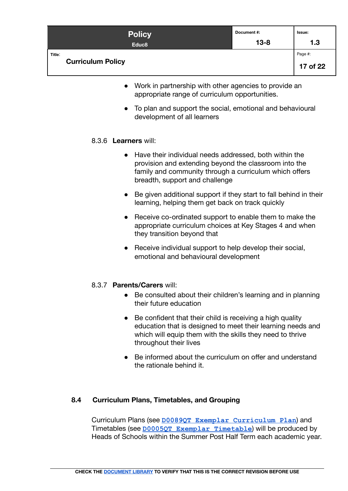| <b>Policy</b>                      | Document #: | Issue:              |
|------------------------------------|-------------|---------------------|
| Educ <sub>8</sub>                  | $13 - 8$    | 1.3                 |
| Title:<br><b>Curriculum Policy</b> |             | Page #:<br>17 of 22 |

- Work in partnership with other agencies to provide an appropriate range of curriculum opportunities.
- To plan and support the social, emotional and behavioural development of all learners

# <span id="page-16-0"></span>8.3.6 **Learners** will:

- Have their individual needs addressed, both within the provision and extending beyond the classroom into the family and community through a curriculum which offers breadth, support and challenge
- Be given additional support if they start to fall behind in their learning, helping them get back on track quickly
- Receive co-ordinated support to enable them to make the appropriate curriculum choices at Key Stages 4 and when they transition beyond that
- Receive individual support to help develop their social, emotional and behavioural development

# <span id="page-16-1"></span>8.3.7 **Parents/Carers** will:

- Be consulted about their children's learning and in planning their future education
- Be confident that their child is receiving a high quality education that is designed to meet their learning needs and which will equip them with the skills they need to thrive throughout their lives
- Be informed about the curriculum on offer and understand the rationale behind it.

# <span id="page-16-2"></span>**8.4 Curriculum Plans, Timetables, and Grouping**

Curriculum Plans (see **[D0089QT Exemplar Curriculum](https://docs.google.com/document/d/1XJpC4w51VNSZ5FJ65YaWt0-ys7WRT1wgGRNJVXQeuzU/edit) Plan**) and Timetables (see **[D0005QT Exemplar Timetable](https://docs.google.com/spreadsheets/d/1hiOYqOhI312oeUbT0F5Bi7ioTMCvcvMhXyqM7I0WOfM/edit)**) will be produced by Heads of Schools within the Summer Post Half Term each academic year.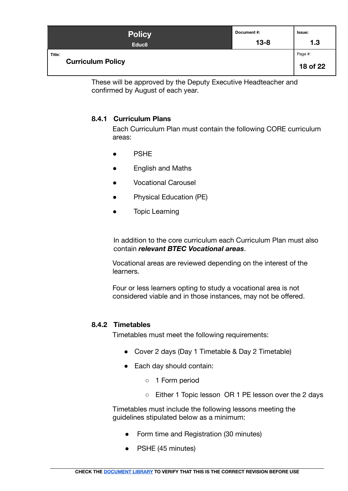| <b>Policy</b>                      | Document #: | Issue:              |
|------------------------------------|-------------|---------------------|
| Educ <sub>8</sub>                  | $13 - 8$    | 1.3                 |
| Title:<br><b>Curriculum Policy</b> |             | Page #:<br>18 of 22 |

These will be approved by the Deputy Executive Headteacher and confirmed by August of each year.

# <span id="page-17-0"></span>**8.4.1 Curriculum Plans**

Each Curriculum Plan must contain the following CORE curriculum areas:

- **PSHF**
- **English and Maths**
- **Vocational Carousel**
- Physical Education (PE)
- **Topic Learning**

In addition to the core curriculum each Curriculum Plan must also contain *relevant BTEC Vocational areas*.

Vocational areas are reviewed depending on the interest of the learners.

Four or less learners opting to study a vocational area is not considered viable and in those instances, may not be offered.

# <span id="page-17-1"></span>**8.4.2 Timetables**

Timetables must meet the following requirements:

- Cover 2 days (Day 1 Timetable & Day 2 Timetable)
- Each day should contain:
	- 1 Form period
	- Either 1 Topic lesson OR 1 PE lesson over the 2 days

Timetables must include the following lessons meeting the guidelines stipulated below as a minimum:

- Form time and Registration (30 minutes)
- PSHE (45 minutes)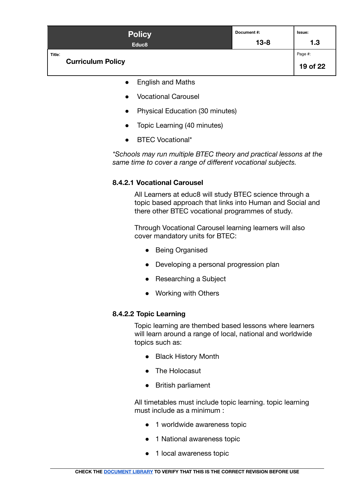| <b>Policy</b>                      | Document#: | Issue:              |
|------------------------------------|------------|---------------------|
| Educ <sub>8</sub>                  | $13 - 8$   | 1.3                 |
| Title:<br><b>Curriculum Policy</b> |            | Page #:<br>19 of 22 |

- English and Maths
- Vocational Carousel
- Physical Education (30 minutes)
- Topic Learning (40 minutes)
- **BTEC Vocational\***

*\*Schools may run multiple BTEC theory and practical lessons at the same time to cover a range of different vocational subjects.*

# <span id="page-18-0"></span>**8.4.2.1 Vocational Carousel**

All Learners at educ8 will study BTEC science through a topic based approach that links into Human and Social and there other BTEC vocational programmes of study.

Through Vocational Carousel learning learners will also cover mandatory units for BTEC:

- Being Organised
- Developing a personal progression plan
- Researching a Subject
- Working with Others

# <span id="page-18-1"></span>**8.4.2.2 Topic Learning**

Topic learning are thembed based lessons where learners will learn around a range of local, national and worldwide topics such as:

- Black History Month
- The Holocasut
- British parliament

All timetables must include topic learning. topic learning must include as a minimum :

- 1 worldwide awareness topic
- 1 National awareness topic
- 1 local awareness topic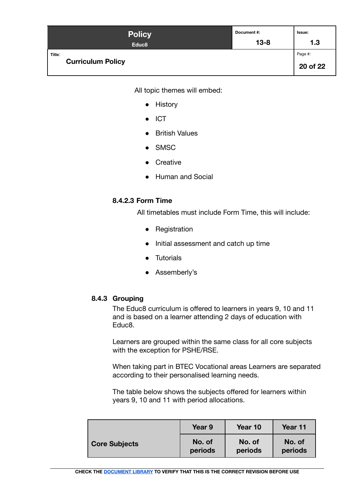| <b>Policy</b>                      | Document #: | Issue:              |
|------------------------------------|-------------|---------------------|
| Educ <sub>8</sub>                  | $13 - 8$    | 1.3                 |
| Title:<br><b>Curriculum Policy</b> |             | Page #:<br>20 of 22 |

All topic themes will embed:

- History
- ICT
- British Values
- SMSC
- Creative
- Human and Social

# <span id="page-19-0"></span>**8.4.2.3 Form Time**

All timetables must include Form Time, this will include:

- Registration
- Initial assessment and catch up time
- Tutorials
- Assemberly's

# <span id="page-19-1"></span>**8.4.3 Grouping**

The Educ8 curriculum is offered to learners in years 9, 10 and 11 and is based on a learner attending 2 days of education with Educ8.

Learners are grouped within the same class for all core subjects with the exception for PSHE/RSE.

When taking part in BTEC Vocational areas Learners are separated according to their personalised learning needs.

The table below shows the subjects offered for learners within years 9, 10 and 11 with period allocations.

|                      | Year 9  | Year 10 | Year 11 |
|----------------------|---------|---------|---------|
| <b>Core Subjects</b> | No. of  | No. of  | No. of  |
|                      | periods | periods | periods |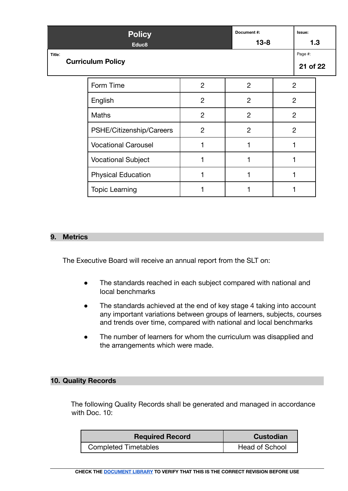| <b>Policy</b><br>Educ <sub>8</sub> |                          |                            |                | Document#:<br>$13 - 8$ |  |                     | Issue:<br>1.3 |  |
|------------------------------------|--------------------------|----------------------------|----------------|------------------------|--|---------------------|---------------|--|
| Title:                             | <b>Curriculum Policy</b> |                            |                |                        |  | Page #:<br>21 of 22 |               |  |
|                                    |                          | Form Time                  | $\overline{2}$ | $\overline{2}$         |  | $\overline{2}$      |               |  |
|                                    |                          | English                    | $\overline{2}$ | $\overline{2}$         |  | $\overline{2}$      |               |  |
|                                    |                          | <b>Maths</b>               | $\overline{2}$ | $\overline{2}$         |  | $\overline{2}$      |               |  |
|                                    |                          | PSHE/Citizenship/Careers   | $\overline{2}$ | $\overline{2}$         |  | $\overline{2}$      |               |  |
|                                    |                          | <b>Vocational Carousel</b> |                |                        |  |                     |               |  |
|                                    |                          | <b>Vocational Subject</b>  |                |                        |  |                     |               |  |
|                                    |                          | <b>Physical Education</b>  |                |                        |  |                     |               |  |
|                                    |                          | <b>Topic Learning</b>      |                |                        |  |                     |               |  |

# <span id="page-20-0"></span>**9. Metrics**

The Executive Board will receive an annual report from the SLT on:

- The standards reached in each subject compared with national and local benchmarks
- The standards achieved at the end of key stage 4 taking into account any important variations between groups of learners, subjects, courses and trends over time, compared with national and local benchmarks
- The number of learners for whom the curriculum was disapplied and the arrangements which were made.

# <span id="page-20-1"></span>**10. Quality Records**

The following Quality Records shall be generated and managed in accordance with Doc. 10:

| <b>Required Record</b>      | Custodian             |
|-----------------------------|-----------------------|
| <b>Completed Timetables</b> | <b>Head of School</b> |